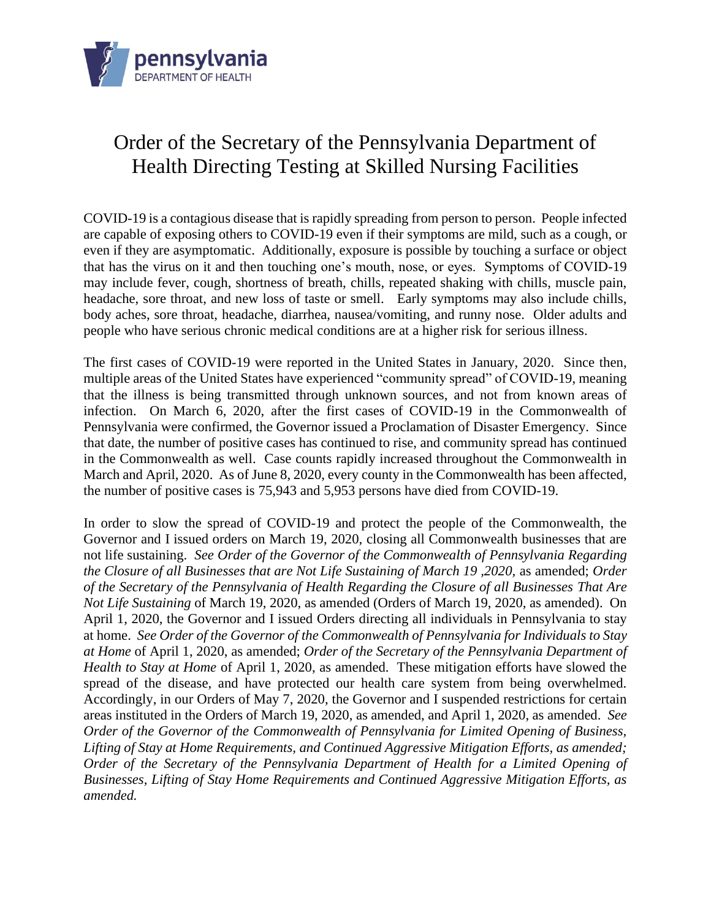

## Order of the Secretary of the Pennsylvania Department of Health Directing Testing at Skilled Nursing Facilities

COVID-19 is a contagious disease that is rapidly spreading from person to person. People infected are capable of exposing others to COVID-19 even if their symptoms are mild, such as a cough, or even if they are asymptomatic. Additionally, exposure is possible by touching a surface or object that has the virus on it and then touching one's mouth, nose, or eyes. Symptoms of COVID-19 may include fever, cough, shortness of breath, chills, repeated shaking with chills, muscle pain, headache, sore throat, and new loss of taste or smell. Early symptoms may also include chills, body aches, sore throat, headache, diarrhea, nausea/vomiting, and runny nose. Older adults and people who have serious chronic medical conditions are at a higher risk for serious illness.

The first cases of COVID-19 were reported in the United States in January, 2020. Since then, multiple areas of the United States have experienced "community spread" of COVID-19, meaning that the illness is being transmitted through unknown sources, and not from known areas of infection. On March 6, 2020, after the first cases of COVID-19 in the Commonwealth of Pennsylvania were confirmed, the Governor issued a Proclamation of Disaster Emergency. Since that date, the number of positive cases has continued to rise, and community spread has continued in the Commonwealth as well. Case counts rapidly increased throughout the Commonwealth in March and April, 2020. As of June 8, 2020, every county in the Commonwealth has been affected, the number of positive cases is 75,943 and 5,953 persons have died from COVID-19.

In order to slow the spread of COVID-19 and protect the people of the Commonwealth, the Governor and I issued orders on March 19, 2020, closing all Commonwealth businesses that are not life sustaining. *See Order of the Governor of the Commonwealth of Pennsylvania Regarding the Closure of all Businesses that are Not Life Sustaining of March 19 ,2020,* as amended; *Order of the Secretary of the Pennsylvania of Health Regarding the Closure of all Businesses That Are Not Life Sustaining* of March 19, 2020, as amended (Orders of March 19, 2020, as amended). On April 1, 2020, the Governor and I issued Orders directing all individuals in Pennsylvania to stay at home. *See Order of the Governor of the Commonwealth of Pennsylvania for Individuals to Stay at Home* of April 1, 2020, as amended; *Order of the Secretary of the Pennsylvania Department of Health to Stay at Home* of April 1, 2020, as amended. These mitigation efforts have slowed the spread of the disease, and have protected our health care system from being overwhelmed. Accordingly, in our Orders of May 7, 2020, the Governor and I suspended restrictions for certain areas instituted in the Orders of March 19, 2020, as amended, and April 1, 2020, as amended. *See Order of the Governor of the Commonwealth of Pennsylvania for Limited Opening of Business, Lifting of Stay at Home Requirements, and Continued Aggressive Mitigation Efforts, as amended; Order of the Secretary of the Pennsylvania Department of Health for a Limited Opening of Businesses, Lifting of Stay Home Requirements and Continued Aggressive Mitigation Efforts, as amended.*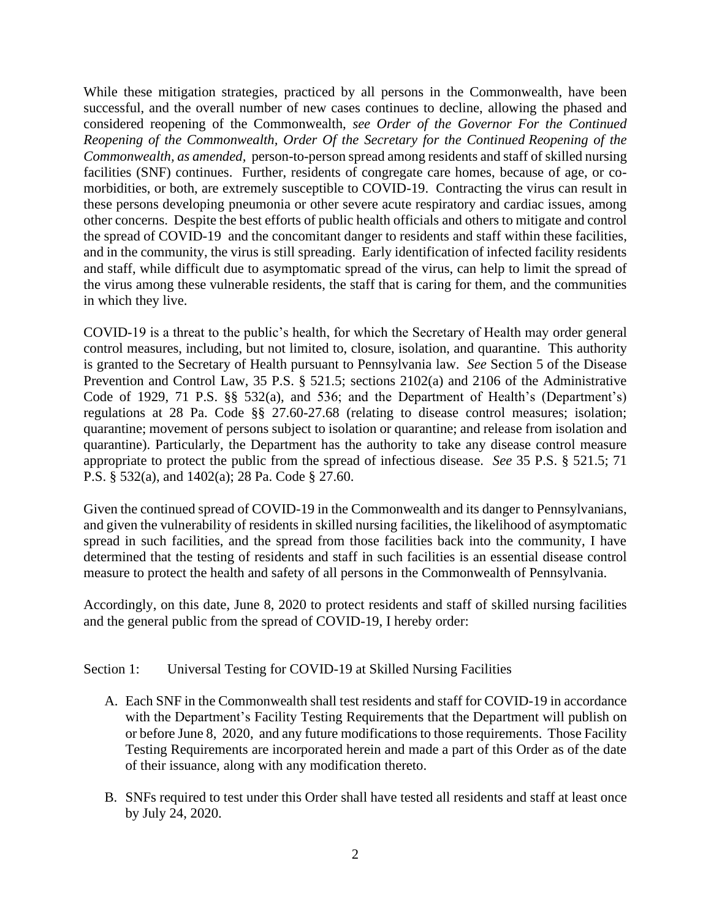While these mitigation strategies, practiced by all persons in the Commonwealth, have been successful, and the overall number of new cases continues to decline, allowing the phased and considered reopening of the Commonwealth, *see Order of the Governor For the Continued Reopening of the Commonwealth, Order Of the Secretary for the Continued Reopening of the Commonwealth, as amended,* person-to-person spread among residents and staff of skilled nursing facilities (SNF) continues. Further, residents of congregate care homes, because of age, or comorbidities, or both, are extremely susceptible to COVID-19. Contracting the virus can result in these persons developing pneumonia or other severe acute respiratory and cardiac issues, among other concerns. Despite the best efforts of public health officials and others to mitigate and control the spread of COVID-19 and the concomitant danger to residents and staff within these facilities, and in the community, the virus is still spreading. Early identification of infected facility residents and staff, while difficult due to asymptomatic spread of the virus, can help to limit the spread of the virus among these vulnerable residents, the staff that is caring for them, and the communities in which they live.

COVID-19 is a threat to the public's health, for which the Secretary of Health may order general control measures, including, but not limited to, closure, isolation, and quarantine. This authority is granted to the Secretary of Health pursuant to Pennsylvania law. *See* Section 5 of the Disease Prevention and Control Law, 35 P.S. § 521.5; sections 2102(a) and 2106 of the Administrative Code of 1929, 71 P.S. §§ 532(a), and 536; and the Department of Health's (Department's) regulations at 28 Pa. Code §§ 27.60-27.68 (relating to disease control measures; isolation; quarantine; movement of persons subject to isolation or quarantine; and release from isolation and quarantine). Particularly, the Department has the authority to take any disease control measure appropriate to protect the public from the spread of infectious disease. *See* 35 P.S. § 521.5; 71 P.S. § 532(a), and 1402(a); 28 Pa. Code § 27.60.

Given the continued spread of COVID-19 in the Commonwealth and its danger to Pennsylvanians, and given the vulnerability of residents in skilled nursing facilities, the likelihood of asymptomatic spread in such facilities, and the spread from those facilities back into the community, I have determined that the testing of residents and staff in such facilities is an essential disease control measure to protect the health and safety of all persons in the Commonwealth of Pennsylvania.

Accordingly, on this date, June 8, 2020 to protect residents and staff of skilled nursing facilities and the general public from the spread of COVID-19, I hereby order:

## Section 1: Universal Testing for COVID-19 at Skilled Nursing Facilities

- A. Each SNF in the Commonwealth shall test residents and staff for COVID-19 in accordance with the Department's Facility Testing Requirements that the Department will publish on or before June 8, 2020, and any future modifications to those requirements. Those Facility Testing Requirements are incorporated herein and made a part of this Order as of the date of their issuance, along with any modification thereto.
- B. SNFs required to test under this Order shall have tested all residents and staff at least once by July 24, 2020.